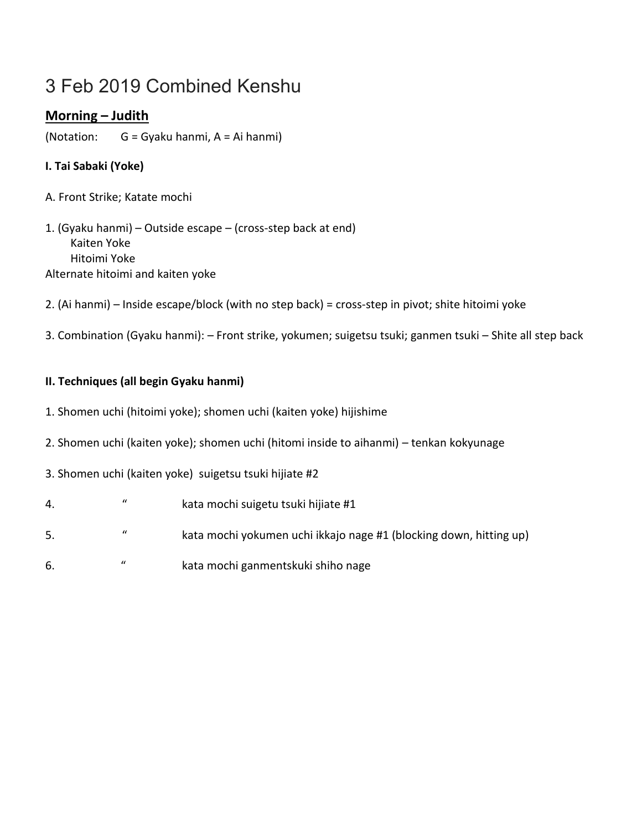# 3 Feb 2019 Combined Kenshu

# **Morning – Judith**

(Notation: G = Gyaku hanmi, A = Ai hanmi)

## **I. Tai Sabaki (Yoke)**

A. Front Strike; Katate mochi

1. (Gyaku hanmi) – Outside escape – (cross-step back at end) Kaiten Yoke Hitoimi Yoke Alternate hitoimi and kaiten yoke

- 2. (Ai hanmi) Inside escape/block (with no step back) = cross-step in pivot; shite hitoimi yoke
- 3. Combination (Gyaku hanmi): Front strike, yokumen; suigetsu tsuki; ganmen tsuki Shite all step back

### **II. Techniques (all begin Gyaku hanmi)**

- 1. Shomen uchi (hitoimi yoke); shomen uchi (kaiten yoke) hijishime
- 2. Shomen uchi (kaiten yoke); shomen uchi (hitomi inside to aihanmi) tenkan kokyunage
- 3. Shomen uchi (kaiten yoke) suigetsu tsuki hijiate #2
- 4. " kata mochi suigetu tsuki hijiate #1
- 5. " kata mochi yokumen uchi ikkajo nage #1 (blocking down, hitting up)
- 6. " kata mochi ganmentskuki shiho nage